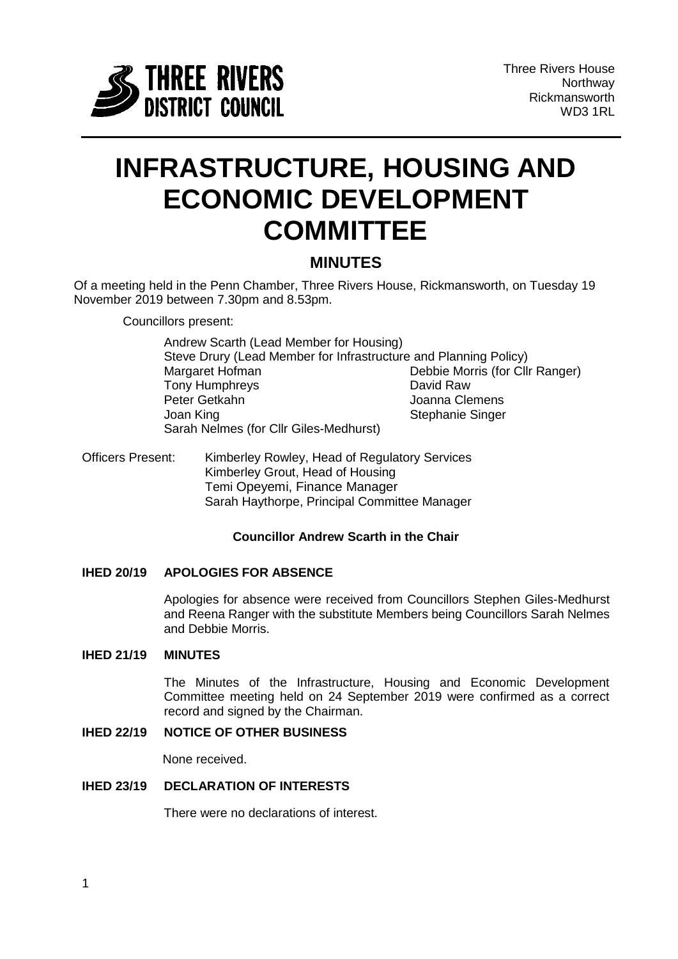

# **INFRASTRUCTURE, HOUSING AND ECONOMIC DEVELOPMENT COMMITTEE**

## **MINUTES**

Of a meeting held in the Penn Chamber, Three Rivers House, Rickmansworth, on Tuesday 19 November 2019 between 7.30pm and 8.53pm.

Councillors present:

Andrew Scarth (Lead Member for Housing) Steve Drury (Lead Member for Infrastructure and Planning Policy) Margaret Hofman Debbie Morris (for Cllr Ranger) Tony Humphreys **David Raw** Peter Getkahn Manusia Superinten School and Stephanie Singer<br>
Joan King<br>
Joan King Stephanie Singer Sarah Nelmes (for Cllr Giles-Medhurst)

Officers Present: Kimberley Rowley, Head of Regulatory Services Kimberley Grout, Head of Housing Temi Opeyemi, Finance Manager Sarah Haythorpe, Principal Committee Manager

## **Councillor Andrew Scarth in the Chair**

## **IHED 20/19 APOLOGIES FOR ABSENCE**

Apologies for absence were received from Councillors Stephen Giles-Medhurst and Reena Ranger with the substitute Members being Councillors Sarah Nelmes and Debbie Morris.

## **IHED 21/19 MINUTES**

The Minutes of the Infrastructure, Housing and Economic Development Committee meeting held on 24 September 2019 were confirmed as a correct record and signed by the Chairman.

## **IHED 22/19 NOTICE OF OTHER BUSINESS**

None received.

## **IHED 23/19 DECLARATION OF INTERESTS**

There were no declarations of interest.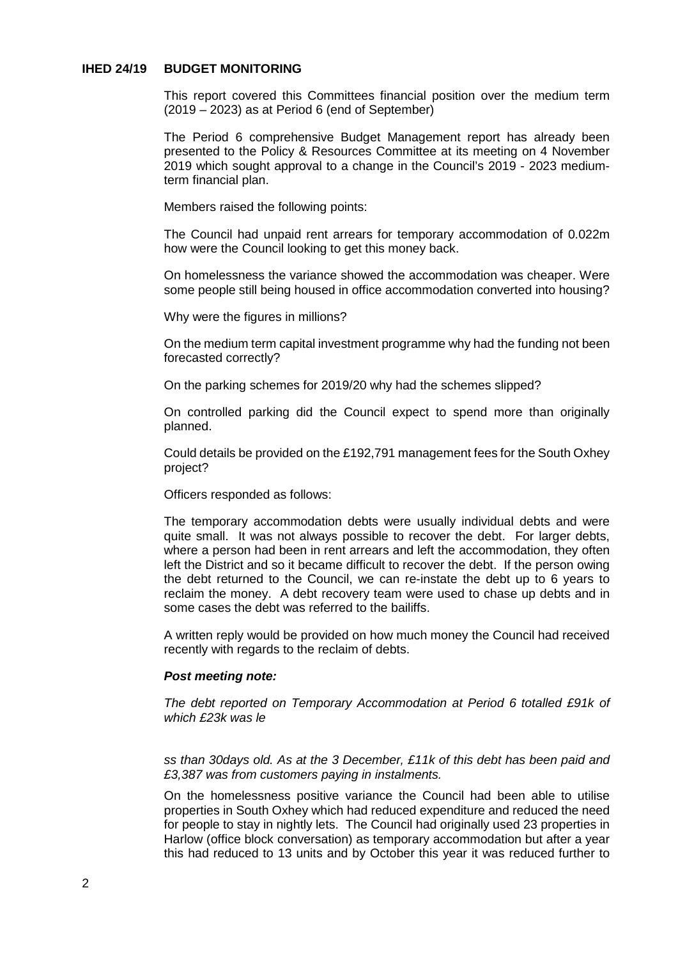## **IHED 24/19 BUDGET MONITORING**

This report covered this Committees financial position over the medium term (2019 – 2023) as at Period 6 (end of September)

The Period 6 comprehensive Budget Management report has already been presented to the Policy & Resources Committee at its meeting on 4 November 2019 which sought approval to a change in the Council's 2019 - 2023 mediumterm financial plan.

Members raised the following points:

The Council had unpaid rent arrears for temporary accommodation of 0.022m how were the Council looking to get this money back.

On homelessness the variance showed the accommodation was cheaper. Were some people still being housed in office accommodation converted into housing?

Why were the figures in millions?

On the medium term capital investment programme why had the funding not been forecasted correctly?

On the parking schemes for 2019/20 why had the schemes slipped?

On controlled parking did the Council expect to spend more than originally planned.

Could details be provided on the £192,791 management fees for the South Oxhey project?

Officers responded as follows:

The temporary accommodation debts were usually individual debts and were quite small. It was not always possible to recover the debt. For larger debts, where a person had been in rent arrears and left the accommodation, they often left the District and so it became difficult to recover the debt. If the person owing the debt returned to the Council, we can re-instate the debt up to 6 years to reclaim the money. A debt recovery team were used to chase up debts and in some cases the debt was referred to the bailiffs.

A written reply would be provided on how much money the Council had received recently with regards to the reclaim of debts.

#### *Post meeting note:*

*The debt reported on Temporary Accommodation at Period 6 totalled £91k of which £23k was le*

*ss than 30days old. As at the 3 December, £11k of this debt has been paid and £3,387 was from customers paying in instalments.*

On the homelessness positive variance the Council had been able to utilise properties in South Oxhey which had reduced expenditure and reduced the need for people to stay in nightly lets. The Council had originally used 23 properties in Harlow (office block conversation) as temporary accommodation but after a year this had reduced to 13 units and by October this year it was reduced further to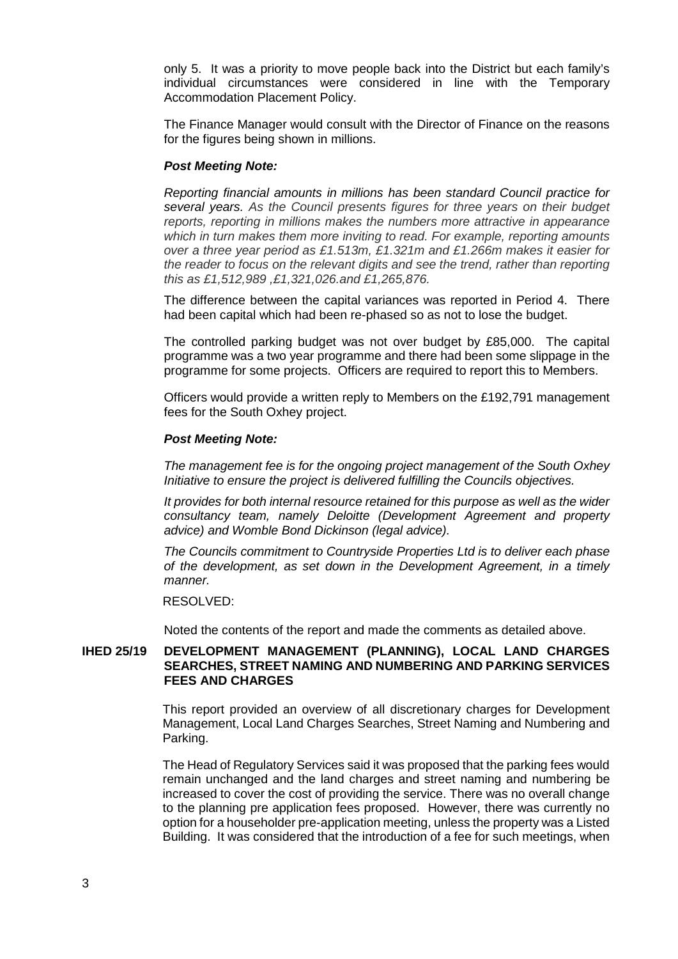only 5. It was a priority to move people back into the District but each family's individual circumstances were considered in line with the Temporary Accommodation Placement Policy.

The Finance Manager would consult with the Director of Finance on the reasons for the figures being shown in millions.

#### *Post Meeting Note:*

*Reporting financial amounts in millions has been standard Council practice for several years. As the Council presents figures for three years on their budget reports, reporting in millions makes the numbers more attractive in appearance which in turn makes them more inviting to read. For example, reporting amounts over a three year period as £1.513m, £1.321m and £1.266m makes it easier for the reader to focus on the relevant digits and see the trend, rather than reporting this as £1,512,989 ,£1,321,026.and £1,265,876.*

The difference between the capital variances was reported in Period 4. There had been capital which had been re-phased so as not to lose the budget.

The controlled parking budget was not over budget by £85,000. The capital programme was a two year programme and there had been some slippage in the programme for some projects. Officers are required to report this to Members.

Officers would provide a written reply to Members on the £192,791 management fees for the South Oxhey project.

#### *Post Meeting Note:*

*The management fee is for the ongoing project management of the South Oxhey Initiative to ensure the project is delivered fulfilling the Councils objectives.*

*It provides for both internal resource retained for this purpose as well as the wider consultancy team, namely Deloitte (Development Agreement and property advice) and Womble Bond Dickinson (legal advice).*

*The Councils commitment to Countryside Properties Ltd is to deliver each phase of the development, as set down in the Development Agreement, in a timely manner.*

#### RESOLVED:

Noted the contents of the report and made the comments as detailed above.

### **IHED 25/19 DEVELOPMENT MANAGEMENT (PLANNING), LOCAL LAND CHARGES SEARCHES, STREET NAMING AND NUMBERING AND PARKING SERVICES FEES AND CHARGES**

This report provided an overview of all discretionary charges for Development Management, Local Land Charges Searches, Street Naming and Numbering and Parking.

The Head of Regulatory Services said it was proposed that the parking fees would remain unchanged and the land charges and street naming and numbering be increased to cover the cost of providing the service. There was no overall change to the planning pre application fees proposed. However, there was currently no option for a householder pre-application meeting, unless the property was a Listed Building. It was considered that the introduction of a fee for such meetings, when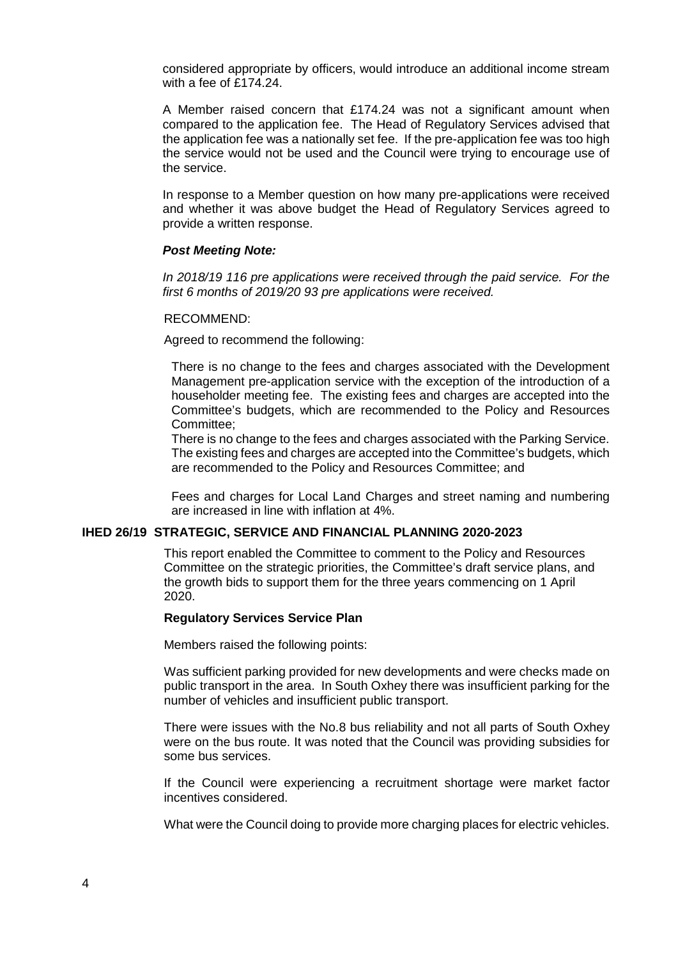considered appropriate by officers, would introduce an additional income stream with a fee of £174.24.

A Member raised concern that £174.24 was not a significant amount when compared to the application fee. The Head of Regulatory Services advised that the application fee was a nationally set fee. If the pre-application fee was too high the service would not be used and the Council were trying to encourage use of the service.

In response to a Member question on how many pre-applications were received and whether it was above budget the Head of Regulatory Services agreed to provide a written response.

## *Post Meeting Note:*

*In 2018/19 116 pre applications were received through the paid service. For the first 6 months of 2019/20 93 pre applications were received.*

#### RECOMMEND:

Agreed to recommend the following:

There is no change to the fees and charges associated with the Development Management pre-application service with the exception of the introduction of a householder meeting fee. The existing fees and charges are accepted into the Committee's budgets, which are recommended to the Policy and Resources Committee;

There is no change to the fees and charges associated with the Parking Service. The existing fees and charges are accepted into the Committee's budgets, which are recommended to the Policy and Resources Committee; and

Fees and charges for Local Land Charges and street naming and numbering are increased in line with inflation at 4%.

## **IHED 26/19 STRATEGIC, SERVICE AND FINANCIAL PLANNING 2020-2023**

This report enabled the Committee to comment to the Policy and Resources Committee on the strategic priorities, the Committee's draft service plans, and the growth bids to support them for the three years commencing on 1 April 2020.

#### **Regulatory Services Service Plan**

Members raised the following points:

Was sufficient parking provided for new developments and were checks made on public transport in the area. In South Oxhey there was insufficient parking for the number of vehicles and insufficient public transport.

There were issues with the No.8 bus reliability and not all parts of South Oxhey were on the bus route. It was noted that the Council was providing subsidies for some bus services.

If the Council were experiencing a recruitment shortage were market factor incentives considered.

What were the Council doing to provide more charging places for electric vehicles.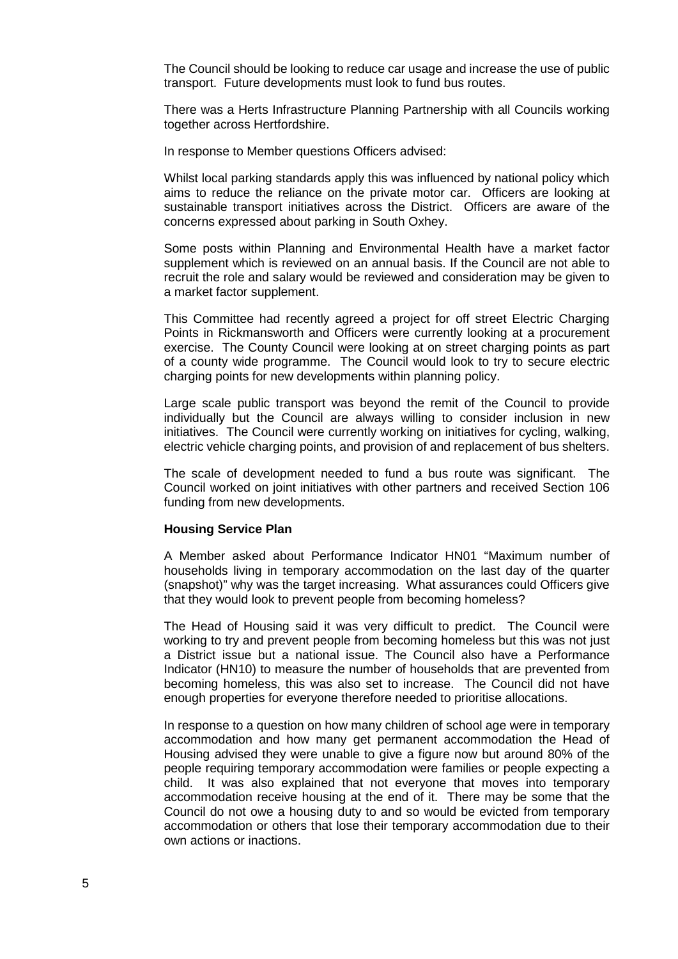The Council should be looking to reduce car usage and increase the use of public transport. Future developments must look to fund bus routes.

There was a Herts Infrastructure Planning Partnership with all Councils working together across Hertfordshire.

In response to Member questions Officers advised:

Whilst local parking standards apply this was influenced by national policy which aims to reduce the reliance on the private motor car. Officers are looking at sustainable transport initiatives across the District. Officers are aware of the concerns expressed about parking in South Oxhey.

Some posts within Planning and Environmental Health have a market factor supplement which is reviewed on an annual basis. If the Council are not able to recruit the role and salary would be reviewed and consideration may be given to a market factor supplement.

This Committee had recently agreed a project for off street Electric Charging Points in Rickmansworth and Officers were currently looking at a procurement exercise. The County Council were looking at on street charging points as part of a county wide programme. The Council would look to try to secure electric charging points for new developments within planning policy.

Large scale public transport was beyond the remit of the Council to provide individually but the Council are always willing to consider inclusion in new initiatives. The Council were currently working on initiatives for cycling, walking, electric vehicle charging points, and provision of and replacement of bus shelters.

The scale of development needed to fund a bus route was significant. The Council worked on joint initiatives with other partners and received Section 106 funding from new developments.

#### **Housing Service Plan**

A Member asked about Performance Indicator HN01 "Maximum number of households living in temporary accommodation on the last day of the quarter (snapshot)" why was the target increasing. What assurances could Officers give that they would look to prevent people from becoming homeless?

The Head of Housing said it was very difficult to predict. The Council were working to try and prevent people from becoming homeless but this was not just a District issue but a national issue. The Council also have a Performance Indicator (HN10) to measure the number of households that are prevented from becoming homeless, this was also set to increase. The Council did not have enough properties for everyone therefore needed to prioritise allocations.

In response to a question on how many children of school age were in temporary accommodation and how many get permanent accommodation the Head of Housing advised they were unable to give a figure now but around 80% of the people requiring temporary accommodation were families or people expecting a child. It was also explained that not everyone that moves into temporary accommodation receive housing at the end of it. There may be some that the Council do not owe a housing duty to and so would be evicted from temporary accommodation or others that lose their temporary accommodation due to their own actions or inactions.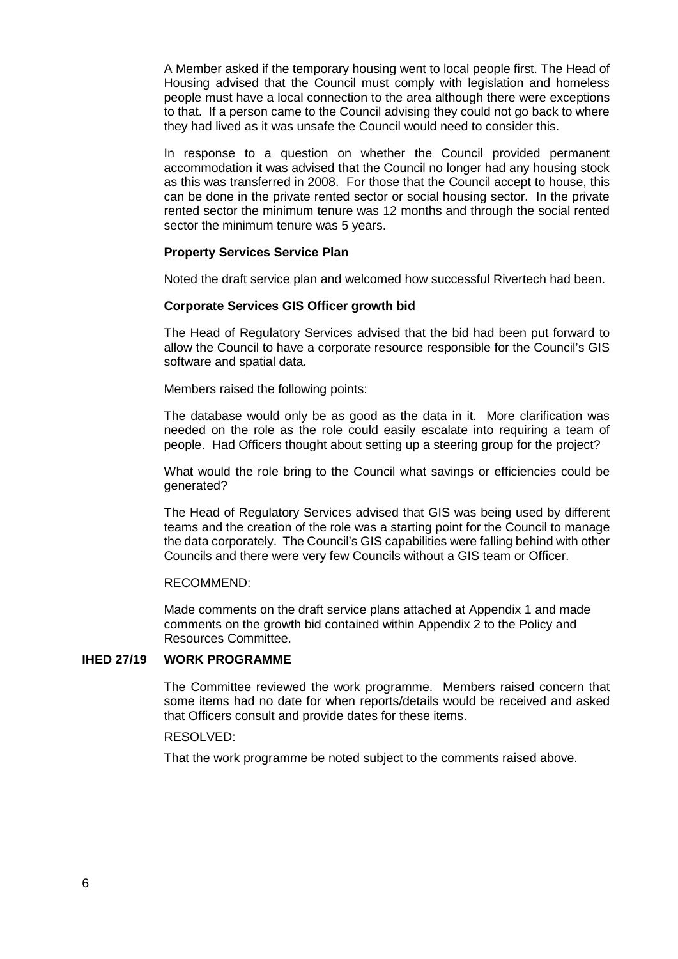A Member asked if the temporary housing went to local people first. The Head of Housing advised that the Council must comply with legislation and homeless people must have a local connection to the area although there were exceptions to that. If a person came to the Council advising they could not go back to where they had lived as it was unsafe the Council would need to consider this.

In response to a question on whether the Council provided permanent accommodation it was advised that the Council no longer had any housing stock as this was transferred in 2008. For those that the Council accept to house, this can be done in the private rented sector or social housing sector. In the private rented sector the minimum tenure was 12 months and through the social rented sector the minimum tenure was 5 years.

#### **Property Services Service Plan**

Noted the draft service plan and welcomed how successful Rivertech had been.

#### **Corporate Services GIS Officer growth bid**

The Head of Regulatory Services advised that the bid had been put forward to allow the Council to have a corporate resource responsible for the Council's GIS software and spatial data.

Members raised the following points:

The database would only be as good as the data in it. More clarification was needed on the role as the role could easily escalate into requiring a team of people. Had Officers thought about setting up a steering group for the project?

What would the role bring to the Council what savings or efficiencies could be generated?

The Head of Regulatory Services advised that GIS was being used by different teams and the creation of the role was a starting point for the Council to manage the data corporately. The Council's GIS capabilities were falling behind with other Councils and there were very few Councils without a GIS team or Officer.

#### RECOMMEND:

Made comments on the draft service plans attached at Appendix 1 and made comments on the growth bid contained within Appendix 2 to the Policy and Resources Committee.

#### **IHED 27/19 WORK PROGRAMME**

The Committee reviewed the work programme. Members raised concern that some items had no date for when reports/details would be received and asked that Officers consult and provide dates for these items.

#### RESOLVED:

That the work programme be noted subject to the comments raised above.